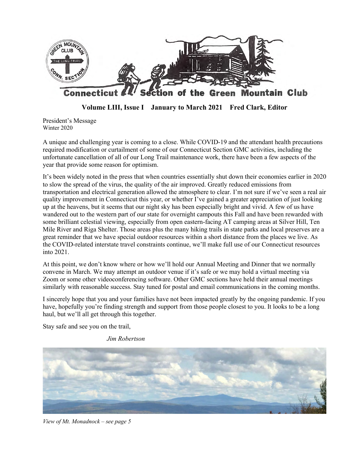

**Volume LIII, Issue I January to March 2021 Fred Clark, Editor**

President's Message Winter 2020

A unique and challenging year is coming to a close. While COVID-19 and the attendant health precautions required modification or curtailment of some of our Connecticut Section GMC activities, including the unfortunate cancellation of all of our Long Trail maintenance work, there have been a few aspects of the year that provide some reason for optimism.

It's been widely noted in the press that when countries essentially shut down their economies earlier in 2020 to slow the spread of the virus, the quality of the air improved. Greatly reduced emissions from transportation and electrical generation allowed the atmosphere to clear. I'm not sure if we've seen a real air quality improvement in Connecticut this year, or whether I've gained a greater appreciation of just looking up at the heavens, but it seems that our night sky has been especially bright and vivid. A few of us have wandered out to the western part of our state for overnight campouts this Fall and have been rewarded with some brilliant celestial viewing, especially from open eastern-facing AT camping areas at Silver Hill, Ten Mile River and Riga Shelter. Those areas plus the many hiking trails in state parks and local preserves are a great reminder that we have special outdoor resources within a short distance from the places we live. As the COVID-related interstate travel constraints continue, we'll make full use of our Connecticut resources into 2021.

At this point, we don't know where or how we'll hold our Annual Meeting and Dinner that we normally convene in March. We may attempt an outdoor venue if it's safe or we may hold a virtual meeting via Zoom or some other videoconferencing software. Other GMC sections have held their annual meetings similarly with reasonable success. Stay tuned for postal and email communications in the coming months.

I sincerely hope that you and your families have not been impacted greatly by the ongoing pandemic. If you have, hopefully you're finding strength and support from those people closest to you. It looks to be a long haul, but we'll all get through this together.

Stay safe and see you on the trail,

*Jim Robertson*



*View of Mt. Monadnock – see page 5*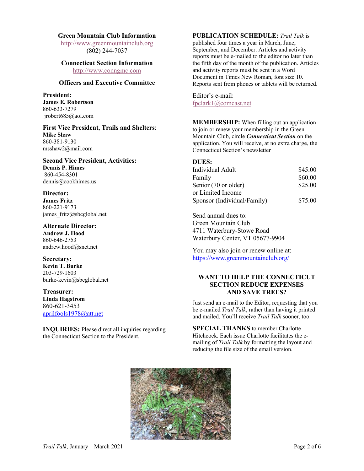#### **Green Mountain Club Information**

http://www.greenmountainclub.org (802) 244-7037

#### **Connecticut Section Information** http://www.conngmc.com

**Officers and Executive Committee**

#### **President: James E. Robertson** 860-633-7279 jrobert685@aol.com

**First Vice President, Trails and Shelters**: **Mike Shaw** 860-381-9130 msshaw2@mail.com

**Second Vice President, Activities: Dennis P. Himes** 860-454-8301 dennis@cookhimes.us

### **Director:**

**James Fritz** 860-221-9173 james\_fritz@sbcglobal.net

**Alternate Director: Andrew J. Hood** 860-646-2753 andrew.hood@snet.net

# **Secretary:**

**Kevin T. Burke** 203-729-1603 burke-kevin@sbcglobal.net

#### **Treasurer: Linda Hagstrom** 860-621-3453 aprilfools1978@att.net

**INQUIRIES:** Please direct all inquiries regarding the Connecticut Section to the President.

### **PUBLICATION SCHEDULE:** *Trail Talk* is

published four times a year in March, June, September, and December. Articles and activity reports must be e-mailed to the editor no later than the fifth day of the month of the publication. Articles and activity reports must be sent in a Word Document in Times New Roman, font size 10. Reports sent from phones or tablets will be returned.

Editor's e-mail: fpclark1@comcast.net

**MEMBERSHIP:** When filling out an application to join or renew your membership in the Green Mountain Club, circle *Connecticut Section* on the application. You will receive, at no extra charge, the Connecticut Section's newsletter

| DUES:                       |         |
|-----------------------------|---------|
| Individual Adult            | \$45.00 |
| Family                      | \$60.00 |
| Senior (70 or older)        | \$25.00 |
| or Limited Income           |         |
| Sponsor (Individual/Family) | \$75.00 |

Send annual dues to: Green Mountain Club 4711 Waterbury-Stowe Road Waterbury Center, VT 05677-9904

You may also join or renew online at: https://www.greenmountainclub.org/

# **WANT TO HELP THE CONNECTICUT SECTION REDUCE EXPENSES AND SAVE TREES?**

Just send an e-mail to the Editor, requesting that you be e-mailed *Trail Talk*, rather than having it printed and mailed. You'll receive *Trail Talk* sooner, too.

**SPECIAL THANKS** to member Charlotte Hitchcock. Each issue Charlotte facilitates the emailing of *Trail Talk* by formatting the layout and reducing the file size of the email version.

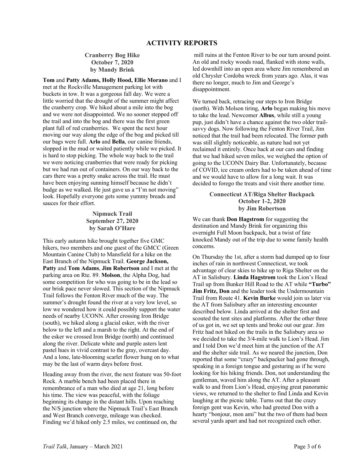# **Cranberry Bog Hike October 7, 2020 by Mandy Brink**

**Tom** and **Patty Adams, Holly Hood, Ellie Morano** and I met at the Rockville Management parking lot with buckets in tow. It was a gorgeous fall day. We were a little worried that the drought of the summer might affect the cranberry crop. We hiked about a mile into the bog and we were not disappointed. We no sooner stepped off the trail and into the bog and there was the first green plant full of red cranberries. We spent the next hour moving our way along the edge of the bog and picked till our bags were full. **Arlo** and **Bella**, our canine friends, slopped in the mud or waited patiently while we picked. It is hard to stop picking. The whole way back to the trail we were noticing cranberries that were ready for picking but we had run out of containers. On our way back to the cars there was a pretty snake across the trail. He must have been enjoying sunning himself because he didn't budge as we walked. He just gave us a "I'm not moving" look. Hopefully everyone gets some yummy breads and sauces for their effort.

#### **Nipmuck Trail September 27, 2020 by Sarah O'Hare**

This early autumn hike brought together five GMC hikers, two members and one guest of the GMCC (Green Mountain Canine Club) to Mansfield for a hike on the East Branch of the Nipmuck Trail. **George Jackson, Patty** and **Tom Adams**, **Jim Robertson** and I met at the parking area on Rte. 89. **Molson**, the Alpha Dog, had some competition for who was going to be in the lead so our brisk pace never slowed. This section of the Nipmuck Trail follows the Fenton River much of the way. The summer's drought found the river at a very low level, so low we wondered how it could possibly support the water needs of nearby UCONN. After crossing Iron Bridge (south), we hiked along a glacial esker, with the river below to the left and a marsh to the right. At the end of the esker we crossed Iron Bridge (north) and continued along the river. Delicate white and purple asters lent pastel hues in vivid contrast to the gray, overcast day. And a lone, late-blooming scarlet flower hung on to what may be the last of warm days before frost.

Heading away from the river, the next feature was 50-foot Rock. A marble bench had been placed there in remembrance of a man who died at age 21, long before his time. The view was peaceful, with the foliage beginning its change in the distant hills. Upon reaching the N/S junction where the Nipmuck Trail's East Branch and West Branch converge, mileage was checked. Finding we'd hiked only 2.5 miles, we continued on, the

mill ruins at the Fenton River to be our turn around point. An old and rocky woods road, flanked with stone walls, led downhill into an open area where Jim remembered an old Chrysler Cordoba wreck from years ago. Alas, it was there no longer, much to Jim and George's disappointment.

We turned back, retracing our steps to Iron Bridge (north). With Molson tiring, **Arlo** began making his move to take the lead. Newcomer **Albus**, while still a young pup, just didn't have a chance against the two older trailsavvy dogs. Now following the Fenton River Trail, Jim noticed that the trail had been relocated. The former path was still slightly noticeable, as nature had not yet reclaimed it entirely. Once back at our cars and finding that we had hiked seven miles, we weighed the option of going to the UCONN Dairy Bar. Unfortunately, because of COVID, ice cream orders had to be taken ahead of time and we would have to allow for a long wait. It was decided to forego the treats and visit there another time.

#### **Connecticut AT/Riga Shelter Backpack October 1-2, 2020 by Jim Robertson**

We can thank **Don Hagstrom** for suggesting the destination and Mandy Brink for organizing this overnight Full Moon backpack, but a twist of fate knocked Mandy out of the trip due to some family health concerns.

On Thursday the 1st, after a storm had dumped up to four inches of rain in northwest Connecticut, we took advantage of clear skies to hike up to Riga Shelter on the AT in Salisbury. **Linda Hagstrom** took the Lion's Head Trail up from Bunker Hill Road to the AT while **"Turbo" Jim Fritz, Don** and the leader took the Undermountain Trail from Route 41. **Kevin Burke** would join us later via the AT from Salisbury after an interesting encounter described below. Linda arrived at the shelter first and scouted the tent sites and platforms. After the other three of us got in, we set up tents and broke out our gear. Jim Fritz had not hiked on the trails in the Salisbury area so we decided to take the 3/4-mile walk to Lion's Head. Jim and I told Don we'd meet him at the junction of the AT and the shelter side trail. As we neared the junction, Don reported that some "crazy" backpacker had gone through, speaking in a foreign tongue and gesturing as if he were looking for his hiking friends. Don, not understanding the gentleman, waved him along the AT. After a pleasant walk to and from Lion's Head, enjoying great panoramic views, we returned to the shelter to find Linda and Kevin laughing at the picnic table. Turns out that the crazy foreign gent was Kevin, who had greeted Don with a hearty "bonjour, mon ami" but the two of them had been several yards apart and had not recognized each other.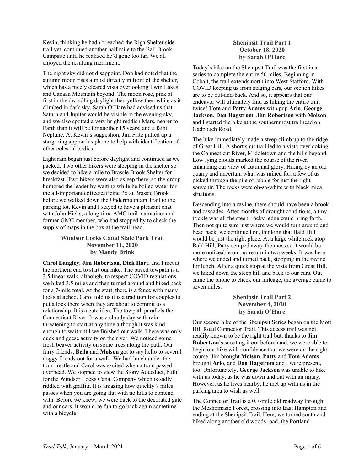Kevin, thinking he hadn't reached the Riga Shelter side trail yet, continued another half mile to the Ball Brook Campsite until he realized he'd gone too far. We all enjoyed the resulting merriment.

The night sky did not disappoint. Don had noted that the autumn moon rises almost directly in front of the shelter, which has a nicely cleared vista overlooking Twin Lakes and Canaan Mountain beyond. The moon rose, pink at first in the dwindling daylight then yellow then white as it climbed in dark sky. Sarah O'Hare had advised us that Saturn and Jupiter would be visible in the evening sky, and we also spotted a very bright reddish Mars, nearer to Earth than it will be for another 15 years, and a faint Neptune. At Kevin's suggestion, Jim Fritz pulled up a stargazing app on his phone to help with identification of other celestial bodies.

Light rain began just before daylight and continued as we packed. Two other hikers were sleeping in the shelter so we decided to hike a mile to Brassie Brook Shelter for breakfast. Two hikers were also asleep there, so the group humored the leader by waiting while he boiled water for the all-important coffee/caffeine fix at Brassie Brook before we walked down the Undermountain Trail to the parking lot. Kevin and I stayed to have a pleasant chat with John Hicks, a long-time AMC trail maintainer and former GMC member, who had stopped by to check the supply of maps in the box at the trail head.

# **Windsor Locks Canal State Park Trail November 11, 2020 by Mandy Brink**

**Carol Langley**, **Jim Robertson**, **Dick Hart**, and I met at the northern end to start our hike. The paved towpath is a 3.5 linear walk, although, to respect COVID regulations, we hiked 3.5 miles and then turned around and hiked back for a 7-mile total. At the start, there is a fence with many locks attached. Carol told us it is a tradition for couples to put a lock there when they are about to commit to a relationship. It is a cute idea. The towpath parallels the Connecticut River. It was a cloudy day with rain threatening to start at any time although it was kind enough to wait until we finished our walk. There was only duck and geese activity on the river. We noticed some fresh beaver activity on some trees along the path. Our furry friends, **Bella** and **Molson** got to say hello to several doggy friends out for a walk. We had lunch under the train trestle and Carol was excited when a train passed overhead. We stopped to view the Stony Aqueduct, built for the Windsor Locks Canal Company which is sadly riddled with graffiti. It is amazing how quickly 7 miles passes when you are going flat with no hills to contend with. Before we knew, we were back to the decorated gate and our cars. It would be fun to go back again sometime with a bicycle.

# **Shenipsit Trail Part 1 October 18, 2020 by Sarah O'Hare**

Today's hike on the Shenipsit Trail was the first in a series to complete the entire 50 miles. Beginning in Cobalt, the trail extends north into West Stafford. With COVID keeping us from staging cars, our section hikes are to be out-and-back. And so, it appears that our endeavor will ultimately find us hiking the entire trail twice! **Tom** and **Patty Adams** with pup **Arlo**, **George Jackson**, **Don Hagstrom**, **Jim Robertson** with **Molson**, and I started the hike at the southernmost trailhead on Gadpouch Road.

The hike immediately made a steep climb up to the ridge of Great Hill. A short spur trail led to a vista overlooking the Connecticut River, Middletown and the hills beyond. Low lying clouds marked the course of the river, enhancing our view of autumnal glory. Hiking by an old quarry and uncertain what was mined for, a few of us picked through the pile of rubble for just the right souvenir. The rocks were oh-so-white with black mica striations.

Descending into a ravine, there should have been a brook and cascades. After months of drought conditions, a tiny trickle was all the steep, rocky ledge could bring forth. Then not quite sure just where we would turn around and head back, we continued on, thinking that Bald Hill would be just the right place. At a large white rock atop Bald Hill, Patty scraped away the moss so it would be more noticeable on our return in two weeks. It was here where we ended and turned back, stopping in the ravine for lunch. After a quick stop at the vista from Great Hill, we hiked down the steep hill and back to our cars. Out came the phone to check our mileage, the average came to seven miles.

#### **Shenipsit Trail Part 2 November 4, 2020 by Sarah O'Hare**

Our second hike of the Shenipsit Series began on the Mott Hill Road Connector Trail. This access trail was not readily known to be the right trail but, thanks to **Jim Robertson**'s scouting it out beforehand, we were able to begin our hike with confidence that we were on the right course. Jim brought **Molson**, **Patty** and **Tom Adams** brought **Arlo**, and **Don Hagstrom** and I were present, too. Unfortunately, **George Jackson** was unable to hike with us today, as he was down and out with an injury. However, as he lives nearby, he met up with us in the parking area to wish us well.

The Connector Trail is a 0.7-mile old roadway through the Meshomasic Forest, crossing into East Hampton and ending at the Shenipsit Trail. Here, we turned south and hiked along another old woods road, the Portland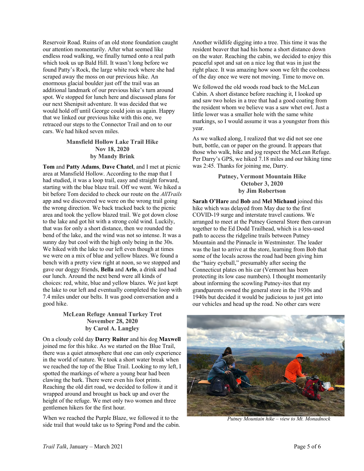Reservoir Road. Ruins of an old stone foundation caught our attention momentarily. After what seemed like endless road walking, we finally turned onto a real path which took us up Bald Hill. It wasn't long before we found Patty's Rock, the large white rock where she had scraped away the moss on our previous hike. An enormous glacial boulder just off the trail was an additional landmark of our previous hike's turn around spot. We stopped for lunch here and discussed plans for our next Shenipsit adventure. It was decided that we would hold off until George could join us again. Happy that we linked our previous hike with this one, we retraced our steps to the Connector Trail and on to our cars. We had hiked seven miles.

# **Mansfield Hollow Lake Trail Hike Nov 18, 2020 by Mandy Brink**

**Tom** and **Patty Adams**, **Dave Chatel**, and I met at picnic area at Mansfield Hollow. According to the map that I had studied, it was a loop trail, easy and straight forward, starting with the blue blaze trail. Off we went. We hiked a bit before Tom decided to check our route on the *AllTrails* app and we discovered we were on the wrong trail going the wrong direction. We back tracked back to the picnic area and took the yellow blazed trail. We got down close to the lake and got hit with a strong cold wind. Luckily, that was for only a short distance, then we rounded the bend of the lake, and the wind was not so intense. It was a sunny day but cool with the high only being in the 30s. We hiked with the lake to our left even though at times we were on a mix of blue and yellow blazes. We found a bench with a pretty view right at noon, so we stopped and gave our doggy friends, **Bella** and **Arlo**, a drink and had our lunch. Around the next bend were all kinds of choices: red, white, blue and yellow blazes. We just kept the lake to our left and eventually completed the loop with 7.4 miles under our belts. It was good conversation and a good hike.

# **McLean Refuge Annual Turkey Trot November 28, 2020 by Carol A. Langley**

On a cloudy cold day **Darry Ruiter** and his dog **Maxwell** joined me for this hike. As we started on the Blue Trail, there was a quiet atmosphere that one can only experience in the world of nature. We took a short water break when we reached the top of the Blue Trail. Looking to my left, I spotted the markings of where a young bear had been clawing the bark. There were even his foot prints. Reaching the old dirt road, we decided to follow it and it wrapped around and brought us back up and over the height of the refuge. We met only two women and three gentlemen hikers for the first hour.

When we reached the Purple Blaze, we followed it to the side trail that would take us to Spring Pond and the cabin. Another wildlife digging into a tree. This time it was the resident beaver that had his home a short distance down on the water. Reaching the cabin, we decided to enjoy this peaceful spot and sat on a nice log that was in just the right place. It was amazing how soon we felt the coolness of the day once we were not moving. Time to move on.

We followed the old woods road back to the McLean Cabin. A short distance before reaching it, I looked up and saw two holes in a tree that had a good coating from the resident whom we believe was a saw whet owl. Just a little lower was a smaller hole with the same white markings, so I would assume it was a youngster from this year.

As we walked along, I realized that we did not see one butt, bottle, can or paper on the ground. It appears that those who walk, hike and jog respect the McLean Refuge. Per Darry's GPS, we hiked 7.18 miles and our hiking time was 2:45. Thanks for joining me, Darry.

#### **Putney, Vermont Mountain Hike October 3, 2020 by Jim Robertson**

**Sarah O'Hare** and **Bob** and **Mel Michaud** joined this hike which was delayed from May due to the first COVID-19 surge and interstate travel cautions. We arranged to meet at the Putney General Store then caravan together to the Ed Dodd Trailhead, which is a less-used path to access the ridgeline trails between Putney Mountain and the Pinnacle in Westminster. The leader was the last to arrive at the store, learning from Bob that some of the locals across the road had been giving him the "hairy eyeball," presumably after seeing the Connecticut plates on his car (Vermont has been protecting its low case numbers). I thought momentarily about informing the scowling Putney-ites that my grandparents owned the general store in the 1930s and 1940s but decided it would be judicious to just get into our vehicles and head up the road. No other cars were



 *Putney Mountain hike – view to Mt. Monadnock*